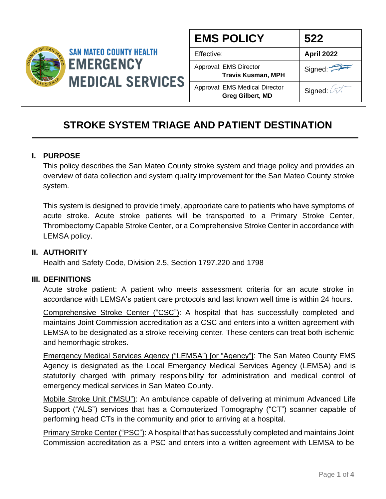

| <b>EMS POLICY</b>                                         | 522               |
|-----------------------------------------------------------|-------------------|
| Effective:                                                | <b>April 2022</b> |
| Approval: EMS Director<br><b>Travis Kusman, MPH</b>       | Signed:           |
| Approval: EMS Medical Director<br><b>Greg Gilbert, MD</b> | Signed: 2         |

# **STROKE SYSTEM TRIAGE AND PATIENT DESTINATION**

### **I. PURPOSE**

This policy describes the San Mateo County stroke system and triage policy and provides an overview of data collection and system quality improvement for the San Mateo County stroke system.

This system is designed to provide timely, appropriate care to patients who have symptoms of acute stroke. Acute stroke patients will be transported to a Primary Stroke Center, Thrombectomy Capable Stroke Center, or a Comprehensive Stroke Center in accordance with LEMSA policy.

### **II. AUTHORITY**

Health and Safety Code, Division 2.5, Section 1797.220 and 1798

### **III. DEFINITIONS**

Acute stroke patient: A patient who meets assessment criteria for an acute stroke in accordance with LEMSA's patient care protocols and last known well time is within 24 hours.

Comprehensive Stroke Center ("CSC"): A hospital that has successfully completed and maintains Joint Commission accreditation as a CSC and enters into a written agreement with LEMSA to be designated as a stroke receiving center. These centers can treat both ischemic and hemorrhagic strokes.

Emergency Medical Services Agency ("LEMSA") [or "Agency"]: The San Mateo County EMS Agency is designated as the Local Emergency Medical Services Agency (LEMSA) and is statutorily charged with primary responsibility for administration and medical control of emergency medical services in San Mateo County.

Mobile Stroke Unit ("MSU"): An ambulance capable of delivering at minimum Advanced Life Support ("ALS") services that has a Computerized Tomography ("CT") scanner capable of performing head CTs in the community and prior to arriving at a hospital.

Primary Stroke Center ("PSC"): A hospital that has successfully completed and maintains Joint Commission accreditation as a PSC and enters into a written agreement with LEMSA to be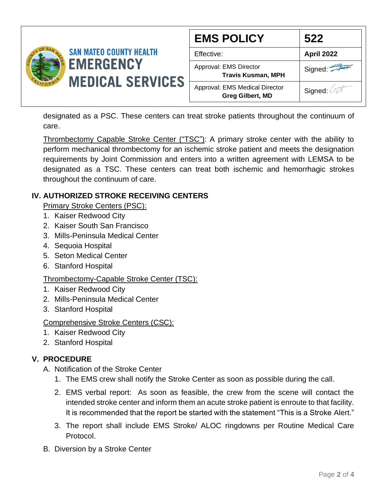

| <b>EMS POLICY</b>                                         | 522        |
|-----------------------------------------------------------|------------|
| Effective:                                                | April 2022 |
| Approval: EMS Director<br><b>Travis Kusman, MPH</b>       | Signed:    |
| Approval: EMS Medical Director<br><b>Greg Gilbert, MD</b> | Signed: 2  |

designated as a PSC. These centers can treat stroke patients throughout the continuum of care.

Thrombectomy Capable Stroke Center ("TSC"): A primary stroke center with the ability to perform mechanical thrombectomy for an ischemic stroke patient and meets the designation requirements by Joint Commission and enters into a written agreement with LEMSA to be designated as a TSC. These centers can treat both ischemic and hemorrhagic strokes throughout the continuum of care.

## **IV. AUTHORIZED STROKE RECEIVING CENTERS**

Primary Stroke Centers (PSC):

- 1. Kaiser Redwood City
- 2. Kaiser South San Francisco
- 3. Mills-Peninsula Medical Center
- 4. Sequoia Hospital
- 5. Seton Medical Center
- 6. Stanford Hospital

# Thrombectomy-Capable Stroke Center (TSC):

- 1. Kaiser Redwood City
- 2. Mills-Peninsula Medical Center
- 3. Stanford Hospital

## Comprehensive Stroke Centers (CSC):

- 1. Kaiser Redwood City
- 2. Stanford Hospital

# **V. PROCEDURE**

- A. Notification of the Stroke Center
	- 1. The EMS crew shall notify the Stroke Center as soon as possible during the call.
	- 2. EMS verbal report: As soon as feasible, the crew from the scene will contact the intended stroke center and inform them an acute stroke patient is enroute to that facility. It is recommended that the report be started with the statement "This is a Stroke Alert."
	- 3. The report shall include EMS Stroke/ ALOC ringdowns per Routine Medical Care Protocol.
- B. Diversion by a Stroke Center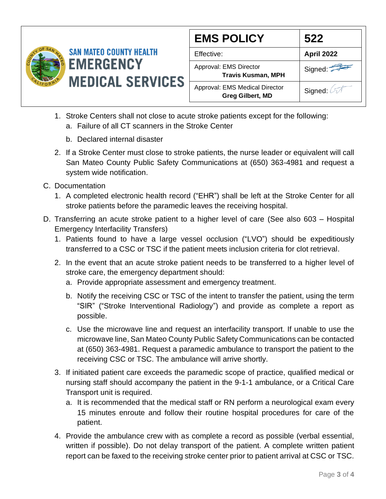

| <b>EMS POLICY</b>                                         | 522               |
|-----------------------------------------------------------|-------------------|
| Effective:                                                | <b>April 2022</b> |
| Approval: EMS Director<br><b>Travis Kusman, MPH</b>       | Signed:           |
| Approval: EMS Medical Director<br><b>Greg Gilbert, MD</b> | Signed: 2         |

- 1. Stroke Centers shall not close to acute stroke patients except for the following:
	- a. Failure of all CT scanners in the Stroke Center
	- b. Declared internal disaster
- 2. If a Stroke Center must close to stroke patients, the nurse leader or equivalent will call San Mateo County Public Safety Communications at (650) 363-4981 and request a system wide notification.
- C. Documentation
	- 1. A completed electronic health record ("EHR") shall be left at the Stroke Center for all stroke patients before the paramedic leaves the receiving hospital.
- D. Transferring an acute stroke patient to a higher level of care (See also 603 Hospital Emergency Interfacility Transfers)
	- 1. Patients found to have a large vessel occlusion ("LVO") should be expeditiously transferred to a CSC or TSC if the patient meets inclusion criteria for clot retrieval.
	- 2. In the event that an acute stroke patient needs to be transferred to a higher level of stroke care, the emergency department should:
		- a. Provide appropriate assessment and emergency treatment.
		- b. Notify the receiving CSC or TSC of the intent to transfer the patient, using the term "SIR" ("Stroke Interventional Radiology") and provide as complete a report as possible.
		- c. Use the microwave line and request an interfacility transport. If unable to use the microwave line, San Mateo County Public Safety Communications can be contacted at (650) 363-4981. Request a paramedic ambulance to transport the patient to the receiving CSC or TSC. The ambulance will arrive shortly.
	- 3. If initiated patient care exceeds the paramedic scope of practice, qualified medical or nursing staff should accompany the patient in the 9-1-1 ambulance, or a Critical Care Transport unit is required.
		- a. It is recommended that the medical staff or RN perform a neurological exam every 15 minutes enroute and follow their routine hospital procedures for care of the patient.
	- 4. Provide the ambulance crew with as complete a record as possible (verbal essential, written if possible). Do not delay transport of the patient. A complete written patient report can be faxed to the receiving stroke center prior to patient arrival at CSC or TSC.